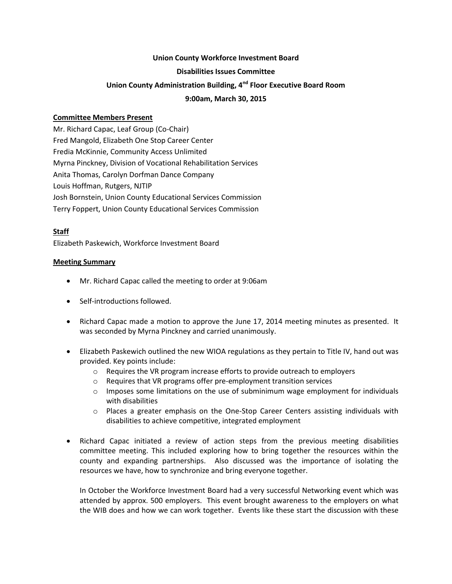#### **Union County Workforce Investment Board**

#### **Disabilities Issues Committee**

# **Union County Administration Building, 4nd Floor Executive Board Room**

### **9:00am, March 30, 2015**

# **Committee Members Present**

Mr. Richard Capac, Leaf Group (Co-Chair) Fred Mangold, Elizabeth One Stop Career Center Fredia McKinnie, Community Access Unlimited Myrna Pinckney, Division of Vocational Rehabilitation Services Anita Thomas, Carolyn Dorfman Dance Company Louis Hoffman, Rutgers, NJTIP Josh Bornstein, Union County Educational Services Commission Terry Foppert, Union County Educational Services Commission

# **Staff**

Elizabeth Paskewich, Workforce Investment Board

#### **Meeting Summary**

- Mr. Richard Capac called the meeting to order at 9:06am
- Self-introductions followed.
- Richard Capac made a motion to approve the June 17, 2014 meeting minutes as presented. It was seconded by Myrna Pinckney and carried unanimously.
- Elizabeth Paskewich outlined the new WIOA regulations as they pertain to Title IV, hand out was provided. Key points include:
	- $\circ$  Requires the VR program increase efforts to provide outreach to employers
	- o Requires that VR programs offer pre-employment transition services
	- $\circ$  Imposes some limitations on the use of subminimum wage employment for individuals with disabilities
	- $\circ$  Places a greater emphasis on the One-Stop Career Centers assisting individuals with disabilities to achieve competitive, integrated employment
- Richard Capac initiated a review of action steps from the previous meeting disabilities committee meeting. This included exploring how to bring together the resources within the county and expanding partnerships. Also discussed was the importance of isolating the resources we have, how to synchronize and bring everyone together.

In October the Workforce Investment Board had a very successful Networking event which was attended by approx. 500 employers. This event brought awareness to the employers on what the WIB does and how we can work together. Events like these start the discussion with these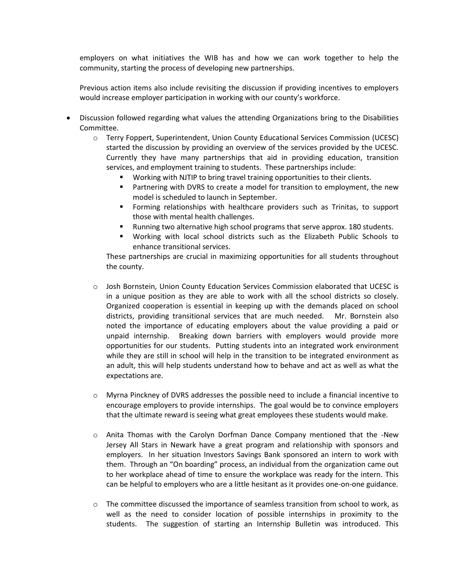employers on what initiatives the WIB has and how we can work together to help the community, starting the process of developing new partnerships.

Previous action items also include revisiting the discussion if providing incentives to employers would increase employer participation in working with our county's workforce.

- Discussion followed regarding what values the attending Organizations bring to the Disabilities Committee.
	- o Terry Foppert, Superintendent, Union County Educational Services Commission (UCESC) started the discussion by providing an overview of the services provided by the UCESC. Currently they have many partnerships that aid in providing education, transition services, and employment training to students. These partnerships include:
		- Working with NJTIP to bring travel training opportunities to their clients.
		- Partnering with DVRS to create a model for transition to employment, the new model is scheduled to launch in September.
		- Forming relationships with healthcare providers such as Trinitas, to support those with mental health challenges.
		- **Running two alternative high school programs that serve approx. 180 students.**
		- Working with local school districts such as the Elizabeth Public Schools to enhance transitional services.

These partnerships are crucial in maximizing opportunities for all students throughout the county.

- o Josh Bornstein, Union County Education Services Commission elaborated that UCESC is in a unique position as they are able to work with all the school districts so closely. Organized cooperation is essential in keeping up with the demands placed on school districts, providing transitional services that are much needed. Mr. Bornstein also noted the importance of educating employers about the value providing a paid or unpaid internship. Breaking down barriers with employers would provide more opportunities for our students. Putting students into an integrated work environment while they are still in school will help in the transition to be integrated environment as an adult, this will help students understand how to behave and act as well as what the expectations are.
- o Myrna Pinckney of DVRS addresses the possible need to include a financial incentive to encourage employers to provide internships. The goal would be to convince employers that the ultimate reward is seeing what great employees these students would make.
- $\circ$  Anita Thomas with the Carolyn Dorfman Dance Company mentioned that the -New Jersey All Stars in Newark have a great program and relationship with sponsors and employers. In her situation Investors Savings Bank sponsored an intern to work with them. Through an "On boarding" process, an individual from the organization came out to her workplace ahead of time to ensure the workplace was ready for the intern. This can be helpful to employers who are a little hesitant as it provides one-on-one guidance.
- $\circ$  The committee discussed the importance of seamless transition from school to work, as well as the need to consider location of possible internships in proximity to the students. The suggestion of starting an Internship Bulletin was introduced. This